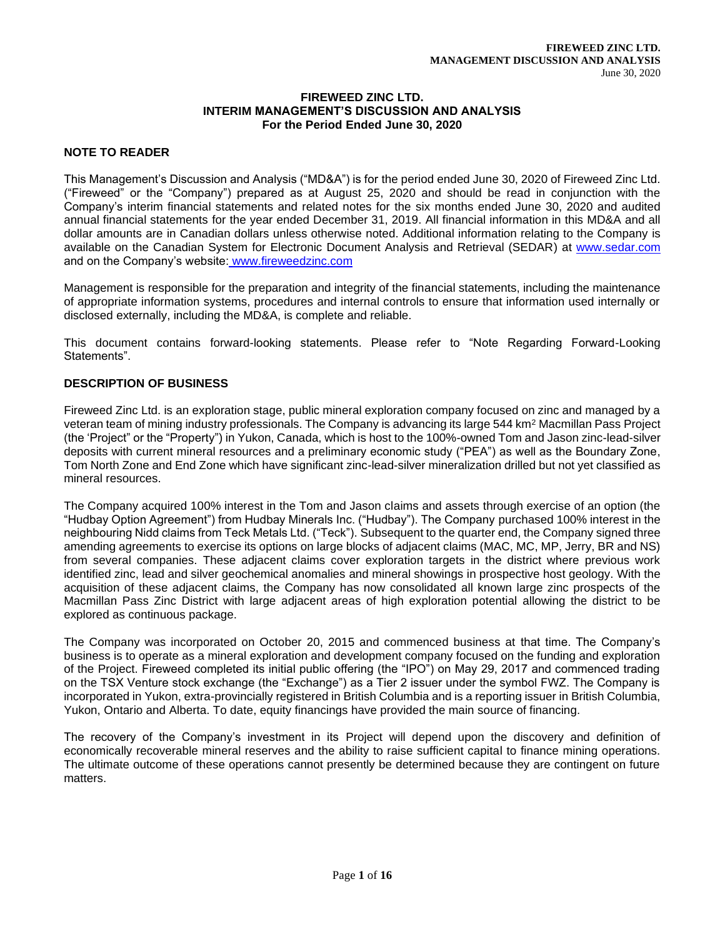#### **FIREWEED ZINC LTD. INTERIM MANAGEMENT'S DISCUSSION AND ANALYSIS For the Period Ended June 30, 2020**

# **NOTE TO READER**

This Management's Discussion and Analysis ("MD&A") is for the period ended June 30, 2020 of Fireweed Zinc Ltd. ("Fireweed" or the "Company") prepared as at August 25, 2020 and should be read in conjunction with the Company's interim financial statements and related notes for the six months ended June 30, 2020 and audited annual financial statements for the year ended December 31, 2019. All financial information in this MD&A and all dollar amounts are in Canadian dollars unless otherwise noted. Additional information relating to the Company is available on the Canadian System for Electronic Document Analysis and Retrieval (SEDAR) at [www.sedar.com](about:blank) and on the Company's website: www.fireweedzinc.com

Management is responsible for the preparation and integrity of the financial statements, including the maintenance of appropriate information systems, procedures and internal controls to ensure that information used internally or disclosed externally, including the MD&A, is complete and reliable.

This document contains forward-looking statements. Please refer to "Note Regarding Forward-Looking Statements".

# **DESCRIPTION OF BUSINESS**

Fireweed Zinc Ltd. is an exploration stage, public mineral exploration company focused on zinc and managed by a veteran team of mining industry professionals. The Company is advancing its large 544 km<sup>2</sup> Macmillan Pass Project (the 'Project" or the "Property") in Yukon, Canada, which is host to the 100%-owned Tom and Jason zinc-lead-silver deposits with current mineral resources and a preliminary economic study ("PEA") as well as the Boundary Zone, Tom North Zone and End Zone which have significant zinc-lead-silver mineralization drilled but not yet classified as mineral resources.

The Company acquired 100% interest in the Tom and Jason claims and assets through exercise of an option (the "Hudbay Option Agreement") from Hudbay Minerals Inc. ("Hudbay"). The Company purchased 100% interest in the neighbouring Nidd claims from Teck Metals Ltd. ("Teck"). Subsequent to the quarter end, the Company signed three amending agreements to exercise its options on large blocks of adjacent claims (MAC, MC, MP, Jerry, BR and NS) from several companies. These adjacent claims cover exploration targets in the district where previous work identified zinc, lead and silver geochemical anomalies and mineral showings in prospective host geology. With the acquisition of these adjacent claims, the Company has now consolidated all known large zinc prospects of the Macmillan Pass Zinc District with large adjacent areas of high exploration potential allowing the district to be explored as continuous package.

The Company was incorporated on October 20, 2015 and commenced business at that time. The Company's business is to operate as a mineral exploration and development company focused on the funding and exploration of the Project. Fireweed completed its initial public offering (the "IPO") on May 29, 2017 and commenced trading on the TSX Venture stock exchange (the "Exchange") as a Tier 2 issuer under the symbol FWZ. The Company is incorporated in Yukon, extra-provincially registered in British Columbia and is a reporting issuer in British Columbia, Yukon, Ontario and Alberta. To date, equity financings have provided the main source of financing.

The recovery of the Company's investment in its Project will depend upon the discovery and definition of economically recoverable mineral reserves and the ability to raise sufficient capital to finance mining operations. The ultimate outcome of these operations cannot presently be determined because they are contingent on future matters.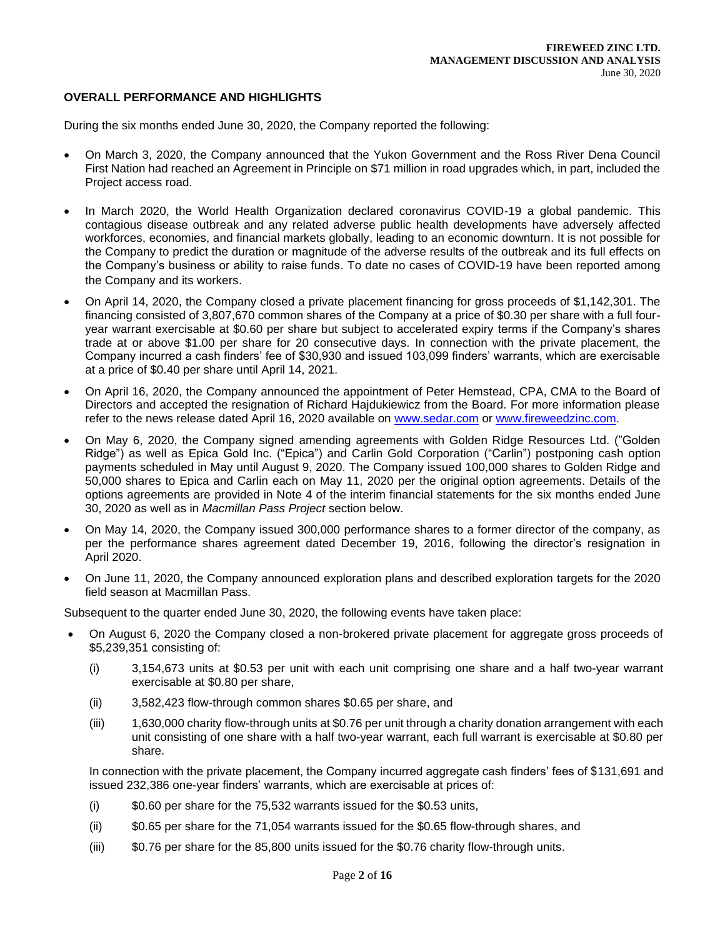# **OVERALL PERFORMANCE AND HIGHLIGHTS**

During the six months ended June 30, 2020, the Company reported the following:

- On March 3, 2020, the Company announced that the Yukon Government and the Ross River Dena Council First Nation had reached an Agreement in Principle on \$71 million in road upgrades which, in part, included the Project access road.
- In March 2020, the World Health Organization declared coronavirus COVID-19 a global pandemic. This contagious disease outbreak and any related adverse public health developments have adversely affected workforces, economies, and financial markets globally, leading to an economic downturn. It is not possible for the Company to predict the duration or magnitude of the adverse results of the outbreak and its full effects on the Company's business or ability to raise funds. To date no cases of COVID-19 have been reported among the Company and its workers.
- On April 14, 2020, the Company closed a private placement financing for gross proceeds of \$1,142,301. The financing consisted of 3,807,670 common shares of the Company at a price of \$0.30 per share with a full fouryear warrant exercisable at \$0.60 per share but subject to accelerated expiry terms if the Company's shares trade at or above \$1.00 per share for 20 consecutive days. In connection with the private placement, the Company incurred a cash finders' fee of \$30,930 and issued 103,099 finders' warrants, which are exercisable at a price of \$0.40 per share until April 14, 2021.
- On April 16, 2020, the Company announced the appointment of Peter Hemstead, CPA, CMA to the Board of Directors and accepted the resignation of Richard Hajdukiewicz from the Board. For more information please refer to the news release dated April 16, 2020 available on [www.sedar.com](about:blank) or [www.fireweedzinc.com.](about:blank)
- On May 6, 2020, the Company signed amending agreements with Golden Ridge Resources Ltd. ("Golden Ridge") as well as Epica Gold Inc. ("Epica") and Carlin Gold Corporation ("Carlin") postponing cash option payments scheduled in May until August 9, 2020. The Company issued 100,000 shares to Golden Ridge and 50,000 shares to Epica and Carlin each on May 11, 2020 per the original option agreements. Details of the options agreements are provided in Note 4 of the interim financial statements for the six months ended June 30, 2020 as well as in *Macmillan Pass Project* section below.
- On May 14, 2020, the Company issued 300,000 performance shares to a former director of the company, as per the performance shares agreement dated December 19, 2016, following the director's resignation in April 2020.
- On June 11, 2020, the Company announced exploration plans and described exploration targets for the 2020 field season at Macmillan Pass.

Subsequent to the quarter ended June 30, 2020, the following events have taken place:

- On August 6, 2020 the Company closed a non-brokered private placement for aggregate gross proceeds of \$5,239,351 consisting of:
	- (i) 3,154,673 units at \$0.53 per unit with each unit comprising one share and a half two-year warrant exercisable at \$0.80 per share,
	- (ii) 3,582,423 flow-through common shares \$0.65 per share, and
	- (iii) 1,630,000 charity flow-through units at \$0.76 per unit through a charity donation arrangement with each unit consisting of one share with a half two-year warrant, each full warrant is exercisable at \$0.80 per share.

In connection with the private placement, the Company incurred aggregate cash finders' fees of \$131,691 and issued 232,386 one-year finders' warrants, which are exercisable at prices of:

- (i) \$0.60 per share for the 75,532 warrants issued for the \$0.53 units,
- (ii) \$0.65 per share for the 71,054 warrants issued for the \$0.65 flow-through shares, and
- (iii) \$0.76 per share for the 85,800 units issued for the \$0.76 charity flow-through units.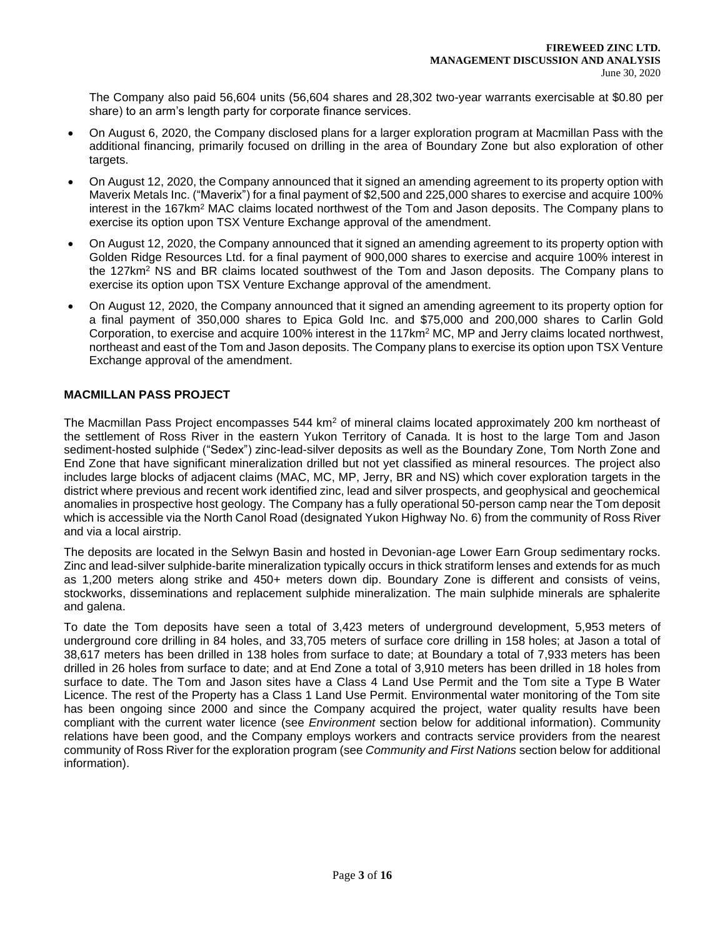The Company also paid 56,604 units (56,604 shares and 28,302 two-year warrants exercisable at \$0.80 per share) to an arm's length party for corporate finance services.

- On August 6, 2020, the Company disclosed plans for a larger exploration program at Macmillan Pass with the additional financing, primarily focused on drilling in the area of Boundary Zone but also exploration of other targets.
- On August 12, 2020, the Company announced that it signed an amending agreement to its property option with Maverix Metals Inc. ("Maverix") for a final payment of \$2,500 and 225,000 shares to exercise and acquire 100% interest in the 167km<sup>2</sup> MAC claims located northwest of the Tom and Jason deposits. The Company plans to exercise its option upon TSX Venture Exchange approval of the amendment.
- On August 12, 2020, the Company announced that it signed an amending agreement to its property option with Golden Ridge Resources Ltd. for a final payment of 900,000 shares to exercise and acquire 100% interest in the 127km<sup>2</sup> NS and BR claims located southwest of the Tom and Jason deposits. The Company plans to exercise its option upon TSX Venture Exchange approval of the amendment.
- On August 12, 2020, the Company announced that it signed an amending agreement to its property option for a final payment of 350,000 shares to Epica Gold Inc. and \$75,000 and 200,000 shares to Carlin Gold Corporation, to exercise and acquire 100% interest in the 117km<sup>2</sup> MC, MP and Jerry claims located northwest, northeast and east of the Tom and Jason deposits. The Company plans to exercise its option upon TSX Venture Exchange approval of the amendment.

# **MACMILLAN PASS PROJECT**

The Macmillan Pass Project encompasses 544 km<sup>2</sup> of mineral claims located approximately 200 km northeast of the settlement of Ross River in the eastern Yukon Territory of Canada. It is host to the large Tom and Jason sediment-hosted sulphide ("Sedex") zinc-lead-silver deposits as well as the Boundary Zone, Tom North Zone and End Zone that have significant mineralization drilled but not yet classified as mineral resources. The project also includes large blocks of adjacent claims (MAC, MC, MP, Jerry, BR and NS) which cover exploration targets in the district where previous and recent work identified zinc, lead and silver prospects, and geophysical and geochemical anomalies in prospective host geology. The Company has a fully operational 50-person camp near the Tom deposit which is accessible via the North Canol Road (designated Yukon Highway No. 6) from the community of Ross River and via a local airstrip.

The deposits are located in the Selwyn Basin and hosted in Devonian-age Lower Earn Group sedimentary rocks. Zinc and lead-silver sulphide-barite mineralization typically occurs in thick stratiform lenses and extends for as much as 1,200 meters along strike and 450+ meters down dip. Boundary Zone is different and consists of veins, stockworks, disseminations and replacement sulphide mineralization. The main sulphide minerals are sphalerite and galena.

To date the Tom deposits have seen a total of 3,423 meters of underground development, 5,953 meters of underground core drilling in 84 holes, and 33,705 meters of surface core drilling in 158 holes; at Jason a total of 38,617 meters has been drilled in 138 holes from surface to date; at Boundary a total of 7,933 meters has been drilled in 26 holes from surface to date; and at End Zone a total of 3,910 meters has been drilled in 18 holes from surface to date. The Tom and Jason sites have a Class 4 Land Use Permit and the Tom site a Type B Water Licence. The rest of the Property has a Class 1 Land Use Permit. Environmental water monitoring of the Tom site has been ongoing since 2000 and since the Company acquired the project, water quality results have been compliant with the current water licence (see *Environment* section below for additional information). Community relations have been good, and the Company employs workers and contracts service providers from the nearest community of Ross River for the exploration program (see *Community and First Nations* section below for additional information).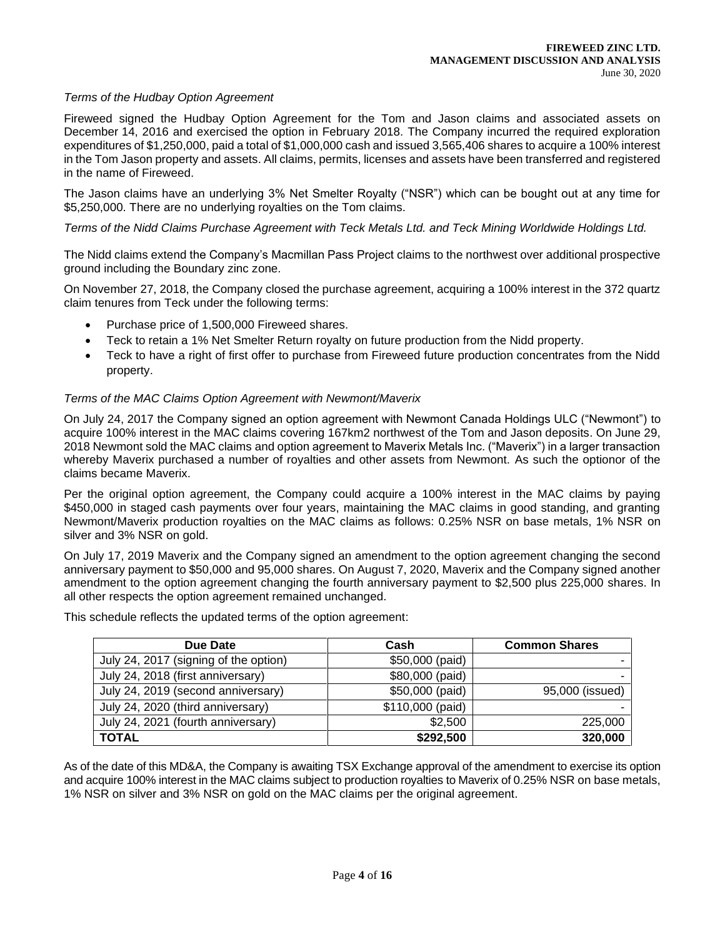### *Terms of the Hudbay Option Agreement*

Fireweed signed the Hudbay Option Agreement for the Tom and Jason claims and associated assets on December 14, 2016 and exercised the option in February 2018. The Company incurred the required exploration expenditures of \$1,250,000, paid a total of \$1,000,000 cash and issued 3,565,406 shares to acquire a 100% interest in the Tom Jason property and assets. All claims, permits, licenses and assets have been transferred and registered in the name of Fireweed.

The Jason claims have an underlying 3% Net Smelter Royalty ("NSR") which can be bought out at any time for \$5,250,000. There are no underlying royalties on the Tom claims.

*Terms of the Nidd Claims Purchase Agreement with Teck Metals Ltd. and Teck Mining Worldwide Holdings Ltd.* 

The Nidd claims extend the Company's Macmillan Pass Project claims to the northwest over additional prospective ground including the Boundary zinc zone.

On November 27, 2018, the Company closed the purchase agreement, acquiring a 100% interest in the 372 quartz claim tenures from Teck under the following terms:

- Purchase price of 1,500,000 Fireweed shares.
- Teck to retain a 1% Net Smelter Return royalty on future production from the Nidd property.
- Teck to have a right of first offer to purchase from Fireweed future production concentrates from the Nidd property.

#### *Terms of the MAC Claims Option Agreement with Newmont/Maverix*

On July 24, 2017 the Company signed an option agreement with Newmont Canada Holdings ULC ("Newmont") to acquire 100% interest in the MAC claims covering 167km2 northwest of the Tom and Jason deposits. On June 29, 2018 Newmont sold the MAC claims and option agreement to Maverix Metals Inc. ("Maverix") in a larger transaction whereby Maverix purchased a number of royalties and other assets from Newmont. As such the optionor of the claims became Maverix.

Per the original option agreement, the Company could acquire a 100% interest in the MAC claims by paying \$450,000 in staged cash payments over four years, maintaining the MAC claims in good standing, and granting Newmont/Maverix production royalties on the MAC claims as follows: 0.25% NSR on base metals, 1% NSR on silver and 3% NSR on gold.

On July 17, 2019 Maverix and the Company signed an amendment to the option agreement changing the second anniversary payment to \$50,000 and 95,000 shares. On August 7, 2020, Maverix and the Company signed another amendment to the option agreement changing the fourth anniversary payment to \$2,500 plus 225,000 shares. In all other respects the option agreement remained unchanged.

| Due Date                              | Cash             | <b>Common Shares</b> |
|---------------------------------------|------------------|----------------------|
| July 24, 2017 (signing of the option) | \$50,000 (paid)  |                      |
| July 24, 2018 (first anniversary)     | \$80,000 (paid)  |                      |
| July 24, 2019 (second anniversary)    | \$50,000 (paid)  | 95,000 (issued)      |
| July 24, 2020 (third anniversary)     | \$110,000 (paid) |                      |
| July 24, 2021 (fourth anniversary)    | \$2,500          | 225,000              |
| <b>TOTAL</b>                          | \$292,500        | 320,000              |

This schedule reflects the updated terms of the option agreement:

As of the date of this MD&A, the Company is awaiting TSX Exchange approval of the amendment to exercise its option and acquire 100% interest in the MAC claims subject to production royalties to Maverix of 0.25% NSR on base metals, 1% NSR on silver and 3% NSR on gold on the MAC claims per the original agreement.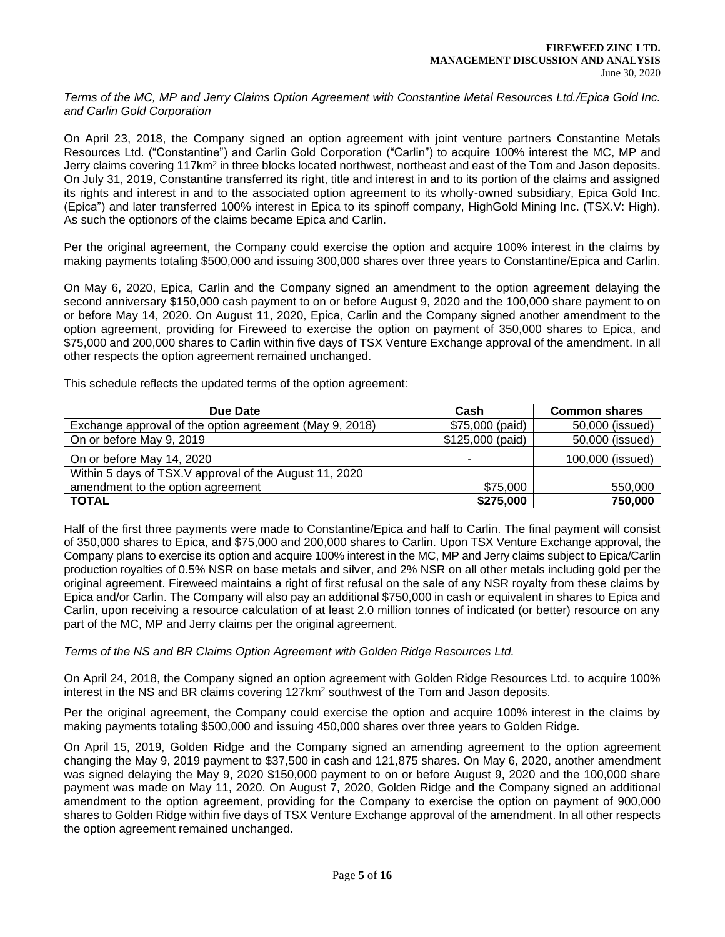*Terms of the MC, MP and Jerry Claims Option Agreement with Constantine Metal Resources Ltd./Epica Gold Inc. and Carlin Gold Corporation*

On April 23, 2018, the Company signed an option agreement with joint venture partners Constantine Metals Resources Ltd. ("Constantine") and Carlin Gold Corporation ("Carlin") to acquire 100% interest the MC, MP and Jerry claims covering 117km<sup>2</sup> in three blocks located northwest, northeast and east of the Tom and Jason deposits. On July 31, 2019, Constantine transferred its right, title and interest in and to its portion of the claims and assigned its rights and interest in and to the associated option agreement to its wholly-owned subsidiary, Epica Gold Inc. (Epica") and later transferred 100% interest in Epica to its spinoff company, HighGold Mining Inc. (TSX.V: High). As such the optionors of the claims became Epica and Carlin.

Per the original agreement, the Company could exercise the option and acquire 100% interest in the claims by making payments totaling \$500,000 and issuing 300,000 shares over three years to Constantine/Epica and Carlin.

On May 6, 2020, Epica, Carlin and the Company signed an amendment to the option agreement delaying the second anniversary \$150,000 cash payment to on or before August 9, 2020 and the 100,000 share payment to on or before May 14, 2020. On August 11, 2020, Epica, Carlin and the Company signed another amendment to the option agreement, providing for Fireweed to exercise the option on payment of 350,000 shares to Epica, and \$75,000 and 200,000 shares to Carlin within five days of TSX Venture Exchange approval of the amendment. In all other respects the option agreement remained unchanged.

This schedule reflects the updated terms of the option agreement:

| Due Date                                                | Cash             | <b>Common shares</b> |
|---------------------------------------------------------|------------------|----------------------|
| Exchange approval of the option agreement (May 9, 2018) | \$75,000 (paid)  | 50,000 (issued)      |
| On or before May 9, 2019                                | \$125,000 (paid) | 50,000 (issued)      |
| On or before May 14, 2020                               |                  | 100,000 (issued)     |
| Within 5 days of TSX.V approval of the August 11, 2020  |                  |                      |
| amendment to the option agreement                       | \$75,000         | 550,000              |
| <b>TOTAL</b>                                            | \$275,000        | 750,000              |

Half of the first three payments were made to Constantine/Epica and half to Carlin. The final payment will consist of 350,000 shares to Epica, and \$75,000 and 200,000 shares to Carlin. Upon TSX Venture Exchange approval, the Company plans to exercise its option and acquire 100% interest in the MC, MP and Jerry claims subject to Epica/Carlin production royalties of 0.5% NSR on base metals and silver, and 2% NSR on all other metals including gold per the original agreement. Fireweed maintains a right of first refusal on the sale of any NSR royalty from these claims by Epica and/or Carlin. The Company will also pay an additional \$750,000 in cash or equivalent in shares to Epica and Carlin, upon receiving a resource calculation of at least 2.0 million tonnes of indicated (or better) resource on any part of the MC, MP and Jerry claims per the original agreement.

### *Terms of the NS and BR Claims Option Agreement with Golden Ridge Resources Ltd.*

On April 24, 2018, the Company signed an option agreement with Golden Ridge Resources Ltd. to acquire 100% interest in the NS and BR claims covering 127km<sup>2</sup> southwest of the Tom and Jason deposits.

Per the original agreement, the Company could exercise the option and acquire 100% interest in the claims by making payments totaling \$500,000 and issuing 450,000 shares over three years to Golden Ridge.

On April 15, 2019, Golden Ridge and the Company signed an amending agreement to the option agreement changing the May 9, 2019 payment to \$37,500 in cash and 121,875 shares. On May 6, 2020, another amendment was signed delaying the May 9, 2020 \$150,000 payment to on or before August 9, 2020 and the 100,000 share payment was made on May 11, 2020. On August 7, 2020, Golden Ridge and the Company signed an additional amendment to the option agreement, providing for the Company to exercise the option on payment of 900,000 shares to Golden Ridge within five days of TSX Venture Exchange approval of the amendment. In all other respects the option agreement remained unchanged.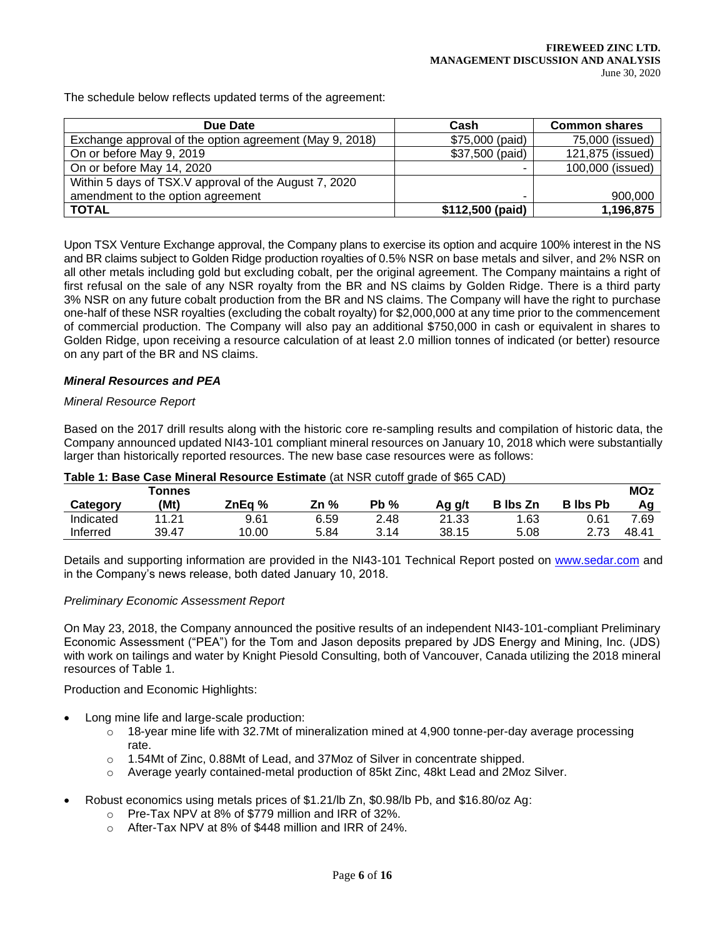The schedule below reflects updated terms of the agreement:

| Due Date                                                | Cash             | <b>Common shares</b> |
|---------------------------------------------------------|------------------|----------------------|
| Exchange approval of the option agreement (May 9, 2018) | \$75,000 (paid)  | 75,000 (issued)      |
| On or before May 9, 2019                                | \$37,500 (paid)  | 121,875 (issued)     |
| On or before May 14, 2020                               |                  | 100,000 (issued)     |
| Within 5 days of TSX.V approval of the August 7, 2020   |                  |                      |
| amendment to the option agreement                       |                  | 900,000              |
| <b>TOTAL</b>                                            | \$112,500 (paid) | 1,196,875            |

Upon TSX Venture Exchange approval, the Company plans to exercise its option and acquire 100% interest in the NS and BR claims subject to Golden Ridge production royalties of 0.5% NSR on base metals and silver, and 2% NSR on all other metals including gold but excluding cobalt, per the original agreement. The Company maintains a right of first refusal on the sale of any NSR royalty from the BR and NS claims by Golden Ridge. There is a third party 3% NSR on any future cobalt production from the BR and NS claims. The Company will have the right to purchase one-half of these NSR royalties (excluding the cobalt royalty) for \$2,000,000 at any time prior to the commencement of commercial production. The Company will also pay an additional \$750,000 in cash or equivalent in shares to Golden Ridge, upon receiving a resource calculation of at least 2.0 million tonnes of indicated (or better) resource on any part of the BR and NS claims.

### *Mineral Resources and PEA*

### *Mineral Resource Report*

Based on the 2017 drill results along with the historic core re-sampling results and compilation of historic data, the Company announced updated NI43-101 compliant mineral resources on January 10, 2018 which were substantially larger than historically reported resources. The new base case resources were as follows:

|           | Tonnes |        |      |        |        |                 |                 | <b>MOz</b> |
|-----------|--------|--------|------|--------|--------|-----------------|-----------------|------------|
| Category  | (Mt`   | ZnEa % | Zn % | $Pb\%$ | Aq q/t | <b>B</b> lbs Zn | <b>B</b> Ibs Pb |            |
| Indicated | 11.21  | 9.61   | 6.59 | 2.48   | 21.33  | .63             | 0.61            | 7.69       |
| Inferred  | 39.47  | 10.00  | 5.84 | 3.14   | 38.15  | 5.08            | 2.73            | 48.41      |

### **Table 1: Base Case Mineral Resource Estimate** (at NSR cutoff grade of \$65 CAD)

Details and supporting information are provided in the NI43-101 Technical Report posted on [www.sedar.com](about:blank) and in the Company's news release, both dated January 10, 2018.

### *Preliminary Economic Assessment Report*

On May 23, 2018, the Company announced the positive results of an independent NI43-101-compliant Preliminary Economic Assessment ("PEA") for the Tom and Jason deposits prepared by JDS Energy and Mining, Inc. (JDS) with work on tailings and water by Knight Piesold Consulting, both of Vancouver, Canada utilizing the 2018 mineral resources of Table 1.

Production and Economic Highlights:

- Long mine life and large-scale production:
	- $\circ$  18-year mine life with 32.7Mt of mineralization mined at 4,900 tonne-per-day average processing rate.
	- o 1.54Mt of Zinc, 0.88Mt of Lead, and 37Moz of Silver in concentrate shipped.
	- o Average yearly contained-metal production of 85kt Zinc, 48kt Lead and 2Moz Silver.
- Robust economics using metals prices of \$1.21/lb Zn, \$0.98/lb Pb, and \$16.80/oz Ag:
	- o Pre-Tax NPV at 8% of \$779 million and IRR of 32%.
	- o After-Tax NPV at 8% of \$448 million and IRR of 24%.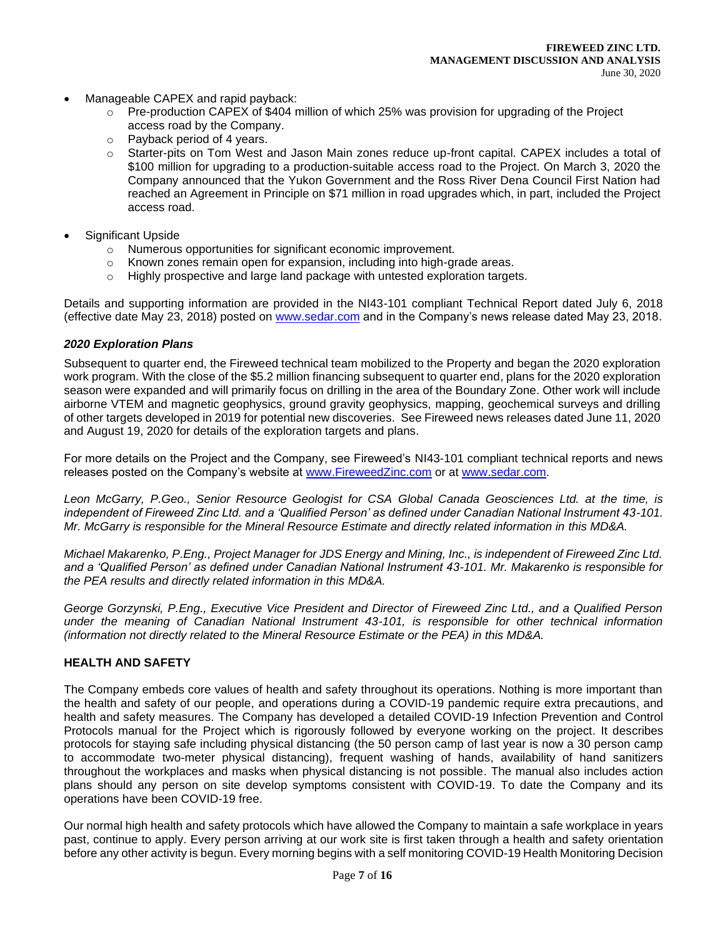- Manageable CAPEX and rapid payback:
	- $\circ$  Pre-production CAPEX of \$404 million of which 25% was provision for upgrading of the Project access road by the Company.
	- o Payback period of 4 years.
	- o Starter-pits on Tom West and Jason Main zones reduce up-front capital. CAPEX includes a total of \$100 million for upgrading to a production-suitable access road to the Project. On March 3, 2020 the Company announced that the Yukon Government and the Ross River Dena Council First Nation had reached an Agreement in Principle on \$71 million in road upgrades which, in part, included the Project access road.
- Significant Upside
	- o Numerous opportunities for significant economic improvement.
	- $\circ$  Known zones remain open for expansion, including into high-grade areas.
	- $\circ$  Highly prospective and large land package with untested exploration targets.

Details and supporting information are provided in the NI43-101 compliant Technical Report dated July 6, 2018 (effective date May 23, 2018) posted on [www.sedar.com](about:blank) and in the Company's news release dated May 23, 2018.

# *2020 Exploration Plans*

Subsequent to quarter end, the Fireweed technical team mobilized to the Property and began the 2020 exploration work program. With the close of the \$5.2 million financing subsequent to quarter end, plans for the 2020 exploration season were expanded and will primarily focus on drilling in the area of the Boundary Zone. Other work will include airborne VTEM and magnetic geophysics, ground gravity geophysics, mapping, geochemical surveys and drilling of other targets developed in 2019 for potential new discoveries. See Fireweed news releases dated June 11, 2020 and August 19, 2020 for details of the exploration targets and plans.

For more details on the Project and the Company, see Fireweed's NI43-101 compliant technical reports and news releases posted on the Company's website at [www.FireweedZinc.com](about:blank) or at [www.sedar.com.](about:blank)

*Leon McGarry, P.Geo., Senior Resource Geologist for CSA Global Canada Geosciences Ltd. at the time, is independent of Fireweed Zinc Ltd. and a 'Qualified Person' as defined under Canadian National Instrument 43-101. Mr. McGarry is responsible for the Mineral Resource Estimate and directly related information in this MD&A.* 

*Michael Makarenko, P.Eng., Project Manager for JDS Energy and Mining, Inc., is independent of Fireweed Zinc Ltd. and a 'Qualified Person' as defined under Canadian National Instrument 43-101. Mr. Makarenko is responsible for the PEA results and directly related information in this MD&A.*

*George Gorzynski, P.Eng., Executive Vice President and Director of Fireweed Zinc Ltd., and a Qualified Person under the meaning of Canadian National Instrument 43-101, is responsible for other technical information (information not directly related to the Mineral Resource Estimate or the PEA) in this MD&A.*

### **HEALTH AND SAFETY**

The Company embeds core values of health and safety throughout its operations. Nothing is more important than the health and safety of our people, and operations during a COVID-19 pandemic require extra precautions, and health and safety measures. The Company has developed a detailed COVID-19 Infection Prevention and Control Protocols manual for the Project which is rigorously followed by everyone working on the project. It describes protocols for staying safe including physical distancing (the 50 person camp of last year is now a 30 person camp to accommodate two-meter physical distancing), frequent washing of hands, availability of hand sanitizers throughout the workplaces and masks when physical distancing is not possible. The manual also includes action plans should any person on site develop symptoms consistent with COVID-19. To date the Company and its operations have been COVID-19 free.

Our normal high health and safety protocols which have allowed the Company to maintain a safe workplace in years past, continue to apply. Every person arriving at our work site is first taken through a health and safety orientation before any other activity is begun. Every morning begins with a self monitoring COVID-19 Health Monitoring Decision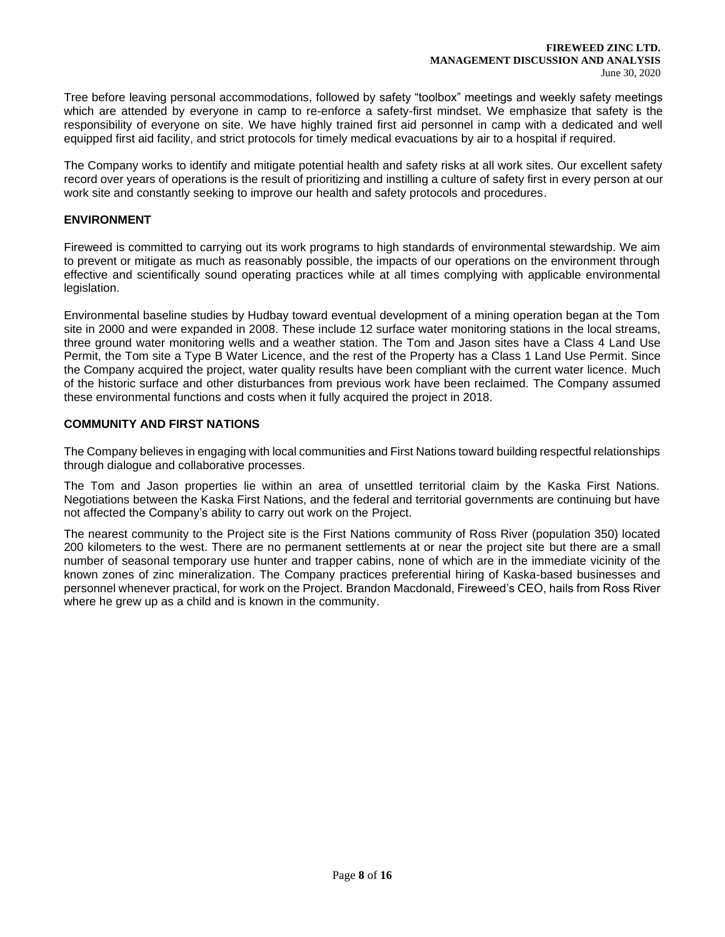Tree before leaving personal accommodations, followed by safety "toolbox" meetings and weekly safety meetings which are attended by everyone in camp to re-enforce a safety-first mindset. We emphasize that safety is the responsibility of everyone on site. We have highly trained first aid personnel in camp with a dedicated and well equipped first aid facility, and strict protocols for timely medical evacuations by air to a hospital if required.

The Company works to identify and mitigate potential health and safety risks at all work sites. Our excellent safety record over years of operations is the result of prioritizing and instilling a culture of safety first in every person at our work site and constantly seeking to improve our health and safety protocols and procedures.

# **ENVIRONMENT**

Fireweed is committed to carrying out its work programs to high standards of environmental stewardship. We aim to prevent or mitigate as much as reasonably possible, the impacts of our operations on the environment through effective and scientifically sound operating practices while at all times complying with applicable environmental legislation.

Environmental baseline studies by Hudbay toward eventual development of a mining operation began at the Tom site in 2000 and were expanded in 2008. These include 12 surface water monitoring stations in the local streams, three ground water monitoring wells and a weather station. The Tom and Jason sites have a Class 4 Land Use Permit, the Tom site a Type B Water Licence, and the rest of the Property has a Class 1 Land Use Permit. Since the Company acquired the project, water quality results have been compliant with the current water licence. Much of the historic surface and other disturbances from previous work have been reclaimed. The Company assumed these environmental functions and costs when it fully acquired the project in 2018.

# **COMMUNITY AND FIRST NATIONS**

The Company believes in engaging with local communities and First Nations toward building respectful relationships through dialogue and collaborative processes.

The Tom and Jason properties lie within an area of unsettled territorial claim by the Kaska First Nations. Negotiations between the Kaska First Nations, and the federal and territorial governments are continuing but have not affected the Company's ability to carry out work on the Project.

The nearest community to the Project site is the First Nations community of Ross River (population 350) located 200 kilometers to the west. There are no permanent settlements at or near the project site but there are a small number of seasonal temporary use hunter and trapper cabins, none of which are in the immediate vicinity of the known zones of zinc mineralization. The Company practices preferential hiring of Kaska-based businesses and personnel whenever practical, for work on the Project. Brandon Macdonald, Fireweed's CEO, hails from Ross River where he grew up as a child and is known in the community.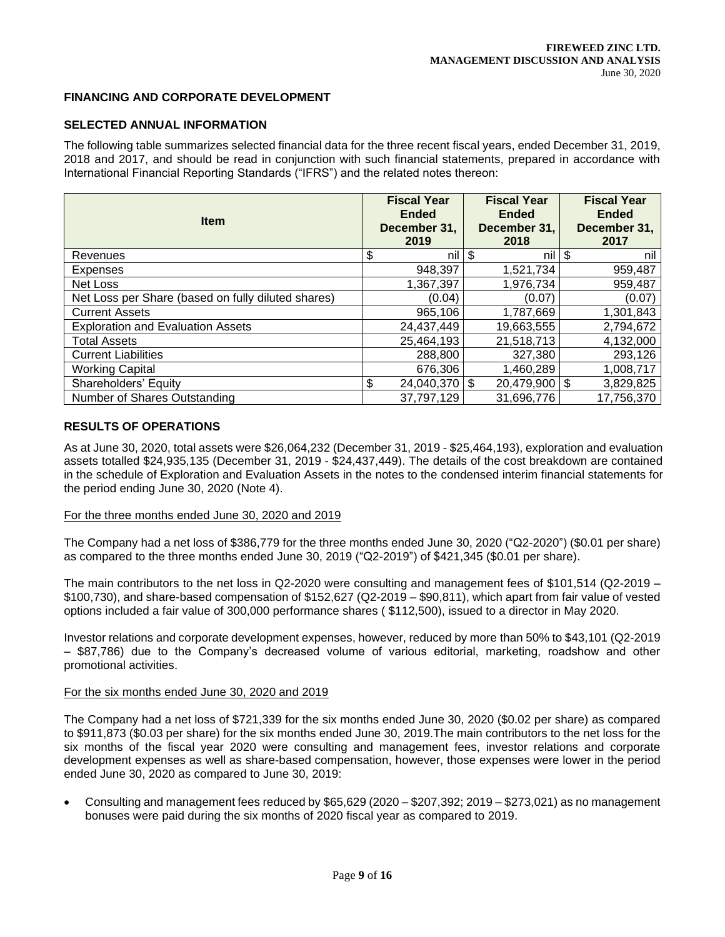## **FINANCING AND CORPORATE DEVELOPMENT**

# **SELECTED ANNUAL INFORMATION**

The following table summarizes selected financial data for the three recent fiscal years, ended December 31, 2019, 2018 and 2017, and should be read in conjunction with such financial statements, prepared in accordance with International Financial Reporting Standards ("IFRS") and the related notes thereon:

| <b>Item</b>                                        |    | <b>Fiscal Year</b><br><b>Ended</b><br>December 31,<br>2019 | <b>Fiscal Year</b><br><b>Ended</b><br>December 31,<br>2018 | <b>Fiscal Year</b><br><b>Ended</b><br>December 31,<br>2017 |
|----------------------------------------------------|----|------------------------------------------------------------|------------------------------------------------------------|------------------------------------------------------------|
| Revenues                                           | \$ | nil l                                                      | \$<br>nil l                                                | \$<br>nil                                                  |
| Expenses                                           |    | 948,397                                                    | 1,521,734                                                  | 959,487                                                    |
| Net Loss                                           |    | 1,367,397                                                  | 1,976,734                                                  | 959,487                                                    |
| Net Loss per Share (based on fully diluted shares) |    | (0.04)                                                     | (0.07)                                                     | (0.07)                                                     |
| <b>Current Assets</b>                              |    | 965,106                                                    | 1,787,669                                                  | 1,301,843                                                  |
| <b>Exploration and Evaluation Assets</b>           |    | 24,437,449                                                 | 19,663,555                                                 | 2,794,672                                                  |
| <b>Total Assets</b>                                |    | 25,464,193                                                 | 21,518,713                                                 | 4,132,000                                                  |
| <b>Current Liabilities</b>                         |    | 288,800                                                    | 327,380                                                    | 293,126                                                    |
| <b>Working Capital</b>                             |    | 676,306                                                    | 1,460,289                                                  | 1,008,717                                                  |
| Shareholders' Equity                               | \$ | $24,040,370$ \\$                                           | $20,479,900$ \$                                            | 3,829,825                                                  |
| Number of Shares Outstanding                       |    | 37,797,129                                                 | 31,696,776                                                 | 17,756,370                                                 |

### **RESULTS OF OPERATIONS**

As at June 30, 2020, total assets were \$26,064,232 (December 31, 2019 - \$25,464,193), exploration and evaluation assets totalled \$24,935,135 (December 31, 2019 - \$24,437,449). The details of the cost breakdown are contained in the schedule of Exploration and Evaluation Assets in the notes to the condensed interim financial statements for the period ending June 30, 2020 (Note 4).

### For the three months ended June 30, 2020 and 2019

The Company had a net loss of \$386,779 for the three months ended June 30, 2020 ("Q2-2020") (\$0.01 per share) as compared to the three months ended June 30, 2019 ("Q2-2019") of \$421,345 (\$0.01 per share).

The main contributors to the net loss in Q2-2020 were consulting and management fees of \$101,514 (Q2-2019 – \$100,730), and share-based compensation of \$152,627 (Q2-2019 – \$90,811), which apart from fair value of vested options included a fair value of 300,000 performance shares ( \$112,500), issued to a director in May 2020.

Investor relations and corporate development expenses, however, reduced by more than 50% to \$43,101 (Q2-2019 – \$87,786) due to the Company's decreased volume of various editorial, marketing, roadshow and other promotional activities.

### For the six months ended June 30, 2020 and 2019

The Company had a net loss of \$721,339 for the six months ended June 30, 2020 (\$0.02 per share) as compared to \$911,873 (\$0.03 per share) for the six months ended June 30, 2019.The main contributors to the net loss for the six months of the fiscal year 2020 were consulting and management fees, investor relations and corporate development expenses as well as share-based compensation, however, those expenses were lower in the period ended June 30, 2020 as compared to June 30, 2019:

• Consulting and management fees reduced by \$65,629 (2020 – \$207,392; 2019 – \$273,021) as no management bonuses were paid during the six months of 2020 fiscal year as compared to 2019.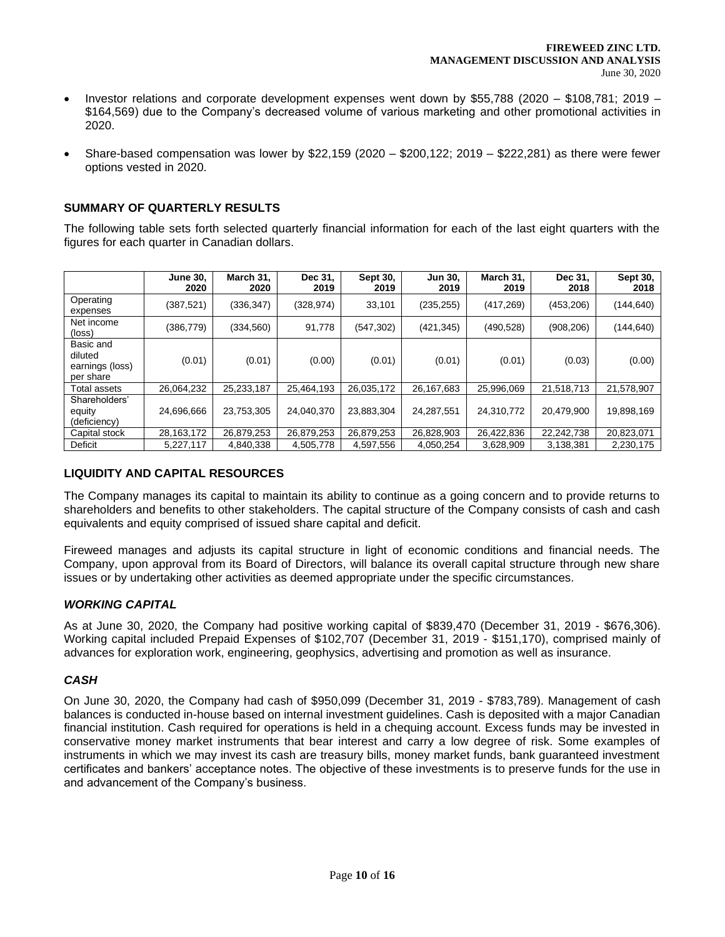- Investor relations and corporate development expenses went down by \$55,788 (2020 \$108,781; 2019 \$164,569) due to the Company's decreased volume of various marketing and other promotional activities in 2020.
- Share-based compensation was lower by \$22,159 (2020 \$200,122; 2019 \$222,281) as there were fewer options vested in 2020.

# **SUMMARY OF QUARTERLY RESULTS**

The following table sets forth selected quarterly financial information for each of the last eight quarters with the figures for each quarter in Canadian dollars.

|                                                      | <b>June 30,</b><br>2020 | March 31,<br>2020 | Dec 31,<br>2019 | Sept 30,<br>2019 | <b>Jun 30,</b><br>2019 | March 31,<br>2019 | Dec 31,<br>2018 | Sept 30,<br>2018 |
|------------------------------------------------------|-------------------------|-------------------|-----------------|------------------|------------------------|-------------------|-----------------|------------------|
| Operating<br>expenses                                | (387, 521)              | (336, 347)        | (328, 974)      | 33,101           | (235, 255)             | (417,269)         | (453, 206)      | (144, 640)       |
| Net income<br>(loss)                                 | (386, 779)              | (334, 560)        | 91,778          | (547, 302)       | (421,345)              | (490, 528)        | (908, 206)      | (144, 640)       |
| Basic and<br>diluted<br>earnings (loss)<br>per share | (0.01)                  | (0.01)            | (0.00)          | (0.01)           | (0.01)                 | (0.01)            | (0.03)          | (0.00)           |
| Total assets                                         | 26,064,232              | 25,233,187        | 25.464.193      | 26,035,172       | 26,167,683             | 25,996,069        | 21,518,713      | 21,578,907       |
| Shareholders'<br>equity<br>(deficiency)              | 24,696,666              | 23,753,305        | 24,040,370      | 23,883,304       | 24,287,551             | 24,310,772        | 20,479,900      | 19,898,169       |
| Capital stock                                        | 28,163,172              | 26,879,253        | 26,879,253      | 26,879,253       | 26,828,903             | 26,422,836        | 22,242,738      | 20,823,071       |
| Deficit                                              | 5.227.117               | 4.840.338         | 4.505.778       | 4.597.556        | 4,050,254              | 3.628.909         | 3,138,381       | 2,230,175        |

# **LIQUIDITY AND CAPITAL RESOURCES**

The Company manages its capital to maintain its ability to continue as a going concern and to provide returns to shareholders and benefits to other stakeholders. The capital structure of the Company consists of cash and cash equivalents and equity comprised of issued share capital and deficit.

Fireweed manages and adjusts its capital structure in light of economic conditions and financial needs. The Company, upon approval from its Board of Directors, will balance its overall capital structure through new share issues or by undertaking other activities as deemed appropriate under the specific circumstances.

# *WORKING CAPITAL*

As at June 30, 2020, the Company had positive working capital of \$839,470 (December 31, 2019 - \$676,306). Working capital included Prepaid Expenses of \$102,707 (December 31, 2019 - \$151,170), comprised mainly of advances for exploration work, engineering, geophysics, advertising and promotion as well as insurance.

# *CASH*

On June 30, 2020, the Company had cash of \$950,099 (December 31, 2019 - \$783,789). Management of cash balances is conducted in-house based on internal investment guidelines. Cash is deposited with a major Canadian financial institution. Cash required for operations is held in a chequing account. Excess funds may be invested in conservative money market instruments that bear interest and carry a low degree of risk. Some examples of instruments in which we may invest its cash are treasury bills, money market funds, bank guaranteed investment certificates and bankers' acceptance notes. The objective of these investments is to preserve funds for the use in and advancement of the Company's business.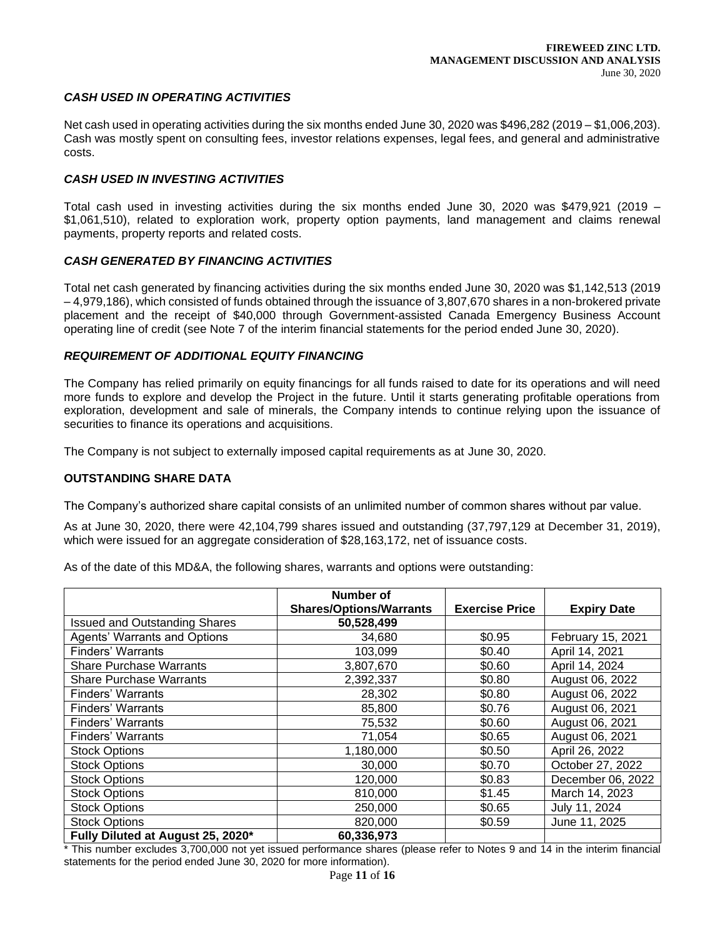#### *CASH USED IN OPERATING ACTIVITIES*

Net cash used in operating activities during the six months ended June 30, 2020 was \$496,282 (2019 – \$1,006,203). Cash was mostly spent on consulting fees, investor relations expenses, legal fees, and general and administrative costs.

#### *CASH USED IN INVESTING ACTIVITIES*

Total cash used in investing activities during the six months ended June 30, 2020 was \$479,921 (2019 – \$1,061,510), related to exploration work, property option payments, land management and claims renewal payments, property reports and related costs.

### *CASH GENERATED BY FINANCING ACTIVITIES*

Total net cash generated by financing activities during the six months ended June 30, 2020 was \$1,142,513 (2019 – 4,979,186), which consisted of funds obtained through the issuance of 3,807,670 shares in a non-brokered private placement and the receipt of \$40,000 through Government-assisted Canada Emergency Business Account operating line of credit (see Note 7 of the interim financial statements for the period ended June 30, 2020).

#### *REQUIREMENT OF ADDITIONAL EQUITY FINANCING*

The Company has relied primarily on equity financings for all funds raised to date for its operations and will need more funds to explore and develop the Project in the future. Until it starts generating profitable operations from exploration, development and sale of minerals, the Company intends to continue relying upon the issuance of securities to finance its operations and acquisitions.

The Company is not subject to externally imposed capital requirements as at June 30, 2020.

#### **OUTSTANDING SHARE DATA**

The Company's authorized share capital consists of an unlimited number of common shares without par value.

As at June 30, 2020, there were 42,104,799 shares issued and outstanding (37,797,129 at December 31, 2019), which were issued for an aggregate consideration of \$28,163,172, net of issuance costs.

As of the date of this MD&A, the following shares, warrants and options were outstanding:

|                                      | Number of                      |                       |                    |
|--------------------------------------|--------------------------------|-----------------------|--------------------|
|                                      | <b>Shares/Options/Warrants</b> | <b>Exercise Price</b> | <b>Expiry Date</b> |
| <b>Issued and Outstanding Shares</b> | 50,528,499                     |                       |                    |
| <b>Agents' Warrants and Options</b>  | 34,680                         | \$0.95                | February 15, 2021  |
| <b>Finders' Warrants</b>             | 103,099                        | \$0.40                | April 14, 2021     |
| <b>Share Purchase Warrants</b>       | 3,807,670                      | \$0.60                | April 14, 2024     |
| <b>Share Purchase Warrants</b>       | 2,392,337                      | \$0.80                | August 06, 2022    |
| <b>Finders' Warrants</b>             | 28,302                         | \$0.80                | August 06, 2022    |
| <b>Finders' Warrants</b>             | 85,800                         | \$0.76                | August 06, 2021    |
| Finders' Warrants                    | 75,532                         | \$0.60                | August 06, 2021    |
| Finders' Warrants                    | 71,054                         | \$0.65                | August 06, 2021    |
| <b>Stock Options</b>                 | 1,180,000                      | \$0.50                | April 26, 2022     |
| <b>Stock Options</b>                 | 30,000                         | \$0.70                | October 27, 2022   |
| <b>Stock Options</b>                 | 120,000                        | \$0.83                | December 06, 2022  |
| <b>Stock Options</b>                 | 810,000                        | \$1.45                | March 14, 2023     |
| <b>Stock Options</b>                 | 250,000                        | \$0.65                | July 11, 2024      |
| <b>Stock Options</b>                 | 820,000                        | \$0.59                | June 11, 2025      |
| Fully Diluted at August 25, 2020*    | 60,336,973                     |                       |                    |

\* This number excludes 3,700,000 not yet issued performance shares (please refer to Notes 9 and 14 in the interim financial statements for the period ended June 30, 2020 for more information).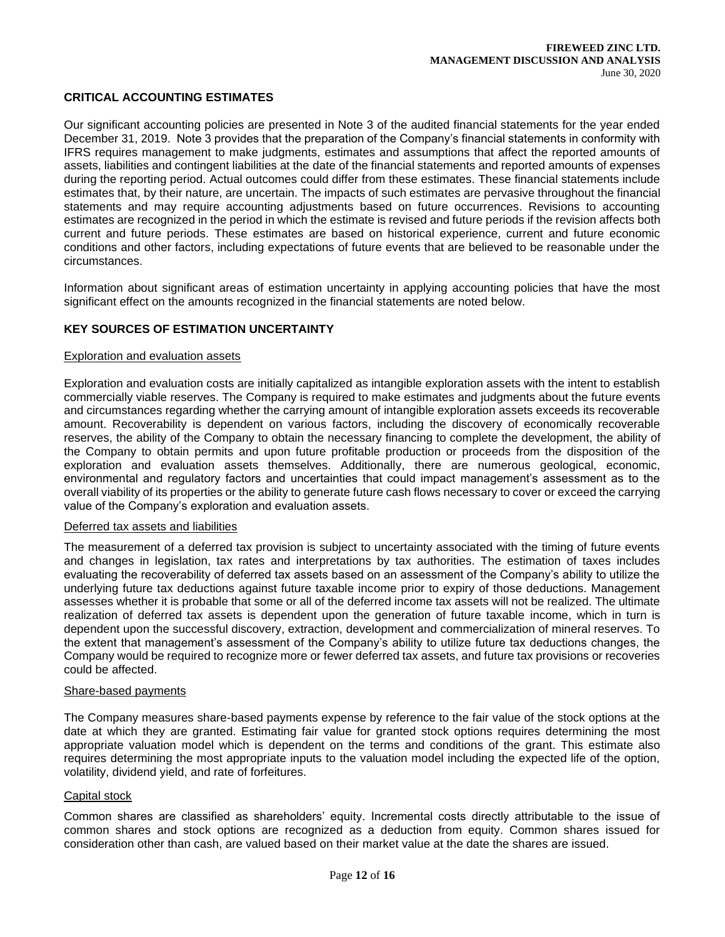## **CRITICAL ACCOUNTING ESTIMATES**

Our significant accounting policies are presented in Note 3 of the audited financial statements for the year ended December 31, 2019. Note 3 provides that the preparation of the Company's financial statements in conformity with IFRS requires management to make judgments, estimates and assumptions that affect the reported amounts of assets, liabilities and contingent liabilities at the date of the financial statements and reported amounts of expenses during the reporting period. Actual outcomes could differ from these estimates. These financial statements include estimates that, by their nature, are uncertain. The impacts of such estimates are pervasive throughout the financial statements and may require accounting adjustments based on future occurrences. Revisions to accounting estimates are recognized in the period in which the estimate is revised and future periods if the revision affects both current and future periods. These estimates are based on historical experience, current and future economic conditions and other factors, including expectations of future events that are believed to be reasonable under the circumstances.

Information about significant areas of estimation uncertainty in applying accounting policies that have the most significant effect on the amounts recognized in the financial statements are noted below.

#### **KEY SOURCES OF ESTIMATION UNCERTAINTY**

#### Exploration and evaluation assets

Exploration and evaluation costs are initially capitalized as intangible exploration assets with the intent to establish commercially viable reserves. The Company is required to make estimates and judgments about the future events and circumstances regarding whether the carrying amount of intangible exploration assets exceeds its recoverable amount. Recoverability is dependent on various factors, including the discovery of economically recoverable reserves, the ability of the Company to obtain the necessary financing to complete the development, the ability of the Company to obtain permits and upon future profitable production or proceeds from the disposition of the exploration and evaluation assets themselves. Additionally, there are numerous geological, economic, environmental and regulatory factors and uncertainties that could impact management's assessment as to the overall viability of its properties or the ability to generate future cash flows necessary to cover or exceed the carrying value of the Company's exploration and evaluation assets.

#### Deferred tax assets and liabilities

The measurement of a deferred tax provision is subject to uncertainty associated with the timing of future events and changes in legislation, tax rates and interpretations by tax authorities. The estimation of taxes includes evaluating the recoverability of deferred tax assets based on an assessment of the Company's ability to utilize the underlying future tax deductions against future taxable income prior to expiry of those deductions. Management assesses whether it is probable that some or all of the deferred income tax assets will not be realized. The ultimate realization of deferred tax assets is dependent upon the generation of future taxable income, which in turn is dependent upon the successful discovery, extraction, development and commercialization of mineral reserves. To the extent that management's assessment of the Company's ability to utilize future tax deductions changes, the Company would be required to recognize more or fewer deferred tax assets, and future tax provisions or recoveries could be affected.

#### Share-based payments

The Company measures share-based payments expense by reference to the fair value of the stock options at the date at which they are granted. Estimating fair value for granted stock options requires determining the most appropriate valuation model which is dependent on the terms and conditions of the grant. This estimate also requires determining the most appropriate inputs to the valuation model including the expected life of the option, volatility, dividend yield, and rate of forfeitures.

#### Capital stock

Common shares are classified as shareholders' equity. Incremental costs directly attributable to the issue of common shares and stock options are recognized as a deduction from equity. Common shares issued for consideration other than cash, are valued based on their market value at the date the shares are issued.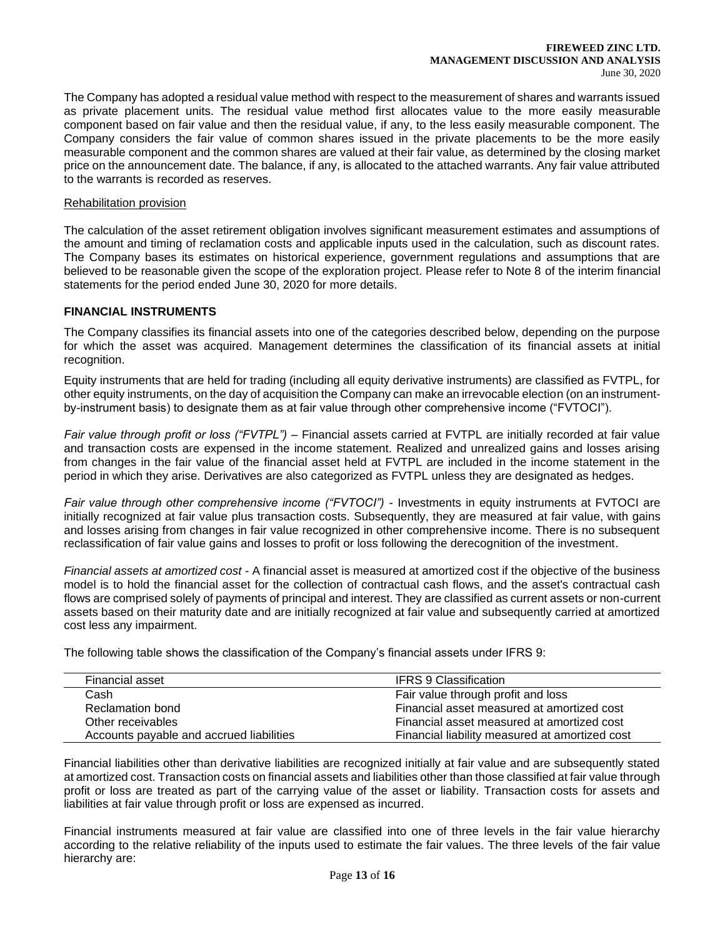#### **FIREWEED ZINC LTD. MANAGEMENT DISCUSSION AND ANALYSIS** June 30, 2020

The Company has adopted a residual value method with respect to the measurement of shares and warrants issued as private placement units. The residual value method first allocates value to the more easily measurable component based on fair value and then the residual value, if any, to the less easily measurable component. The Company considers the fair value of common shares issued in the private placements to be the more easily measurable component and the common shares are valued at their fair value, as determined by the closing market price on the announcement date. The balance, if any, is allocated to the attached warrants. Any fair value attributed to the warrants is recorded as reserves.

#### Rehabilitation provision

The calculation of the asset retirement obligation involves significant measurement estimates and assumptions of the amount and timing of reclamation costs and applicable inputs used in the calculation, such as discount rates. The Company bases its estimates on historical experience, government regulations and assumptions that are believed to be reasonable given the scope of the exploration project. Please refer to Note 8 of the interim financial statements for the period ended June 30, 2020 for more details.

# **FINANCIAL INSTRUMENTS**

The Company classifies its financial assets into one of the categories described below, depending on the purpose for which the asset was acquired. Management determines the classification of its financial assets at initial recognition.

Equity instruments that are held for trading (including all equity derivative instruments) are classified as FVTPL, for other equity instruments, on the day of acquisition the Company can make an irrevocable election (on an instrumentby-instrument basis) to designate them as at fair value through other comprehensive income ("FVTOCI").

*Fair value through profit or loss ("FVTPL")* – Financial assets carried at FVTPL are initially recorded at fair value and transaction costs are expensed in the income statement. Realized and unrealized gains and losses arising from changes in the fair value of the financial asset held at FVTPL are included in the income statement in the period in which they arise. Derivatives are also categorized as FVTPL unless they are designated as hedges.

*Fair value through other comprehensive income ("FVTOCI")* - Investments in equity instruments at FVTOCI are initially recognized at fair value plus transaction costs. Subsequently, they are measured at fair value, with gains and losses arising from changes in fair value recognized in other comprehensive income. There is no subsequent reclassification of fair value gains and losses to profit or loss following the derecognition of the investment.

*Financial assets at amortized cost* - A financial asset is measured at amortized cost if the objective of the business model is to hold the financial asset for the collection of contractual cash flows, and the asset's contractual cash flows are comprised solely of payments of principal and interest. They are classified as current assets or non-current assets based on their maturity date and are initially recognized at fair value and subsequently carried at amortized cost less any impairment.

The following table shows the classification of the Company's financial assets under IFRS 9:

| Financial asset                          | <b>IFRS 9 Classification</b>                   |
|------------------------------------------|------------------------------------------------|
| Cash                                     | Fair value through profit and loss             |
| Reclamation bond                         | Financial asset measured at amortized cost     |
| Other receivables                        | Financial asset measured at amortized cost     |
| Accounts payable and accrued liabilities | Financial liability measured at amortized cost |

Financial liabilities other than derivative liabilities are recognized initially at fair value and are subsequently stated at amortized cost. Transaction costs on financial assets and liabilities other than those classified at fair value through profit or loss are treated as part of the carrying value of the asset or liability. Transaction costs for assets and liabilities at fair value through profit or loss are expensed as incurred.

Financial instruments measured at fair value are classified into one of three levels in the fair value hierarchy according to the relative reliability of the inputs used to estimate the fair values. The three levels of the fair value hierarchy are: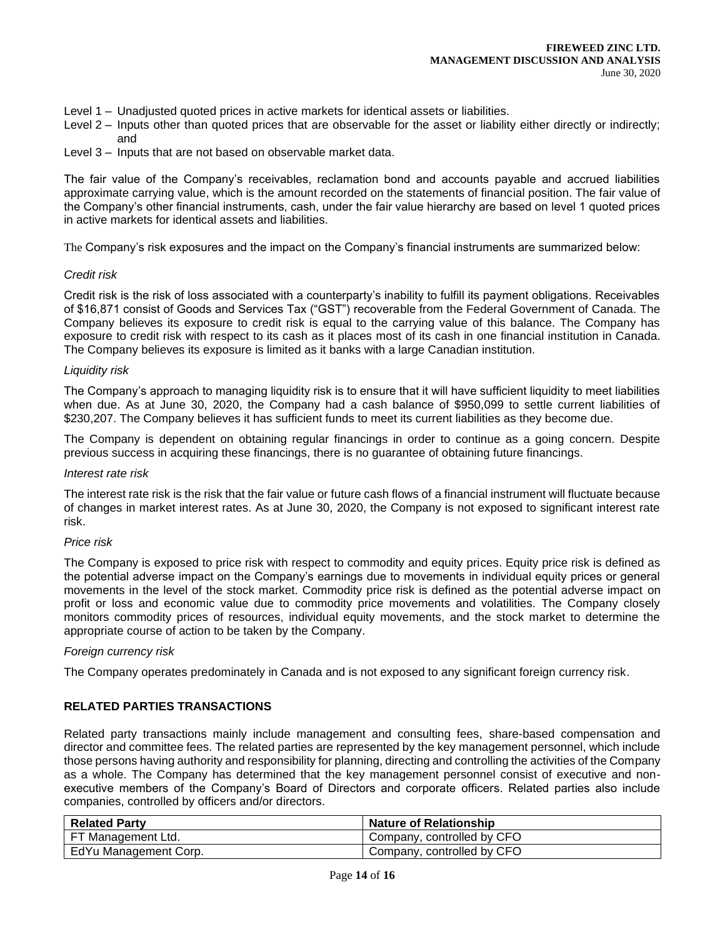- Level 1 Unadjusted quoted prices in active markets for identical assets or liabilities.
- Level 2 Inputs other than quoted prices that are observable for the asset or liability either directly or indirectly; and
- Level 3 Inputs that are not based on observable market data.

The fair value of the Company's receivables, reclamation bond and accounts payable and accrued liabilities approximate carrying value, which is the amount recorded on the statements of financial position. The fair value of the Company's other financial instruments, cash, under the fair value hierarchy are based on level 1 quoted prices in active markets for identical assets and liabilities.

The Company's risk exposures and the impact on the Company's financial instruments are summarized below:

#### *Credit risk*

Credit risk is the risk of loss associated with a counterparty's inability to fulfill its payment obligations. Receivables of \$16,871 consist of Goods and Services Tax ("GST") recoverable from the Federal Government of Canada. The Company believes its exposure to credit risk is equal to the carrying value of this balance. The Company has exposure to credit risk with respect to its cash as it places most of its cash in one financial institution in Canada. The Company believes its exposure is limited as it banks with a large Canadian institution.

### *Liquidity risk*

The Company's approach to managing liquidity risk is to ensure that it will have sufficient liquidity to meet liabilities when due. As at June 30, 2020, the Company had a cash balance of \$950,099 to settle current liabilities of \$230,207. The Company believes it has sufficient funds to meet its current liabilities as they become due.

The Company is dependent on obtaining regular financings in order to continue as a going concern. Despite previous success in acquiring these financings, there is no guarantee of obtaining future financings.

#### *Interest rate risk*

The interest rate risk is the risk that the fair value or future cash flows of a financial instrument will fluctuate because of changes in market interest rates. As at June 30, 2020, the Company is not exposed to significant interest rate risk.

#### *Price risk*

The Company is exposed to price risk with respect to commodity and equity prices. Equity price risk is defined as the potential adverse impact on the Company's earnings due to movements in individual equity prices or general movements in the level of the stock market. Commodity price risk is defined as the potential adverse impact on profit or loss and economic value due to commodity price movements and volatilities. The Company closely monitors commodity prices of resources, individual equity movements, and the stock market to determine the appropriate course of action to be taken by the Company.

### *Foreign currency risk*

The Company operates predominately in Canada and is not exposed to any significant foreign currency risk.

### **RELATED PARTIES TRANSACTIONS**

Related party transactions mainly include management and consulting fees, share-based compensation and director and committee fees. The related parties are represented by the key management personnel, which include those persons having authority and responsibility for planning, directing and controlling the activities of the Company as a whole. The Company has determined that the key management personnel consist of executive and nonexecutive members of the Company's Board of Directors and corporate officers. Related parties also include companies, controlled by officers and/or directors.

| <b>Related Party</b>  | <b>Nature of Relationship</b> |
|-----------------------|-------------------------------|
| FT Management Ltd.    | Company, controlled by CFO    |
| EdYu Management Corp. | Company, controlled by CFO    |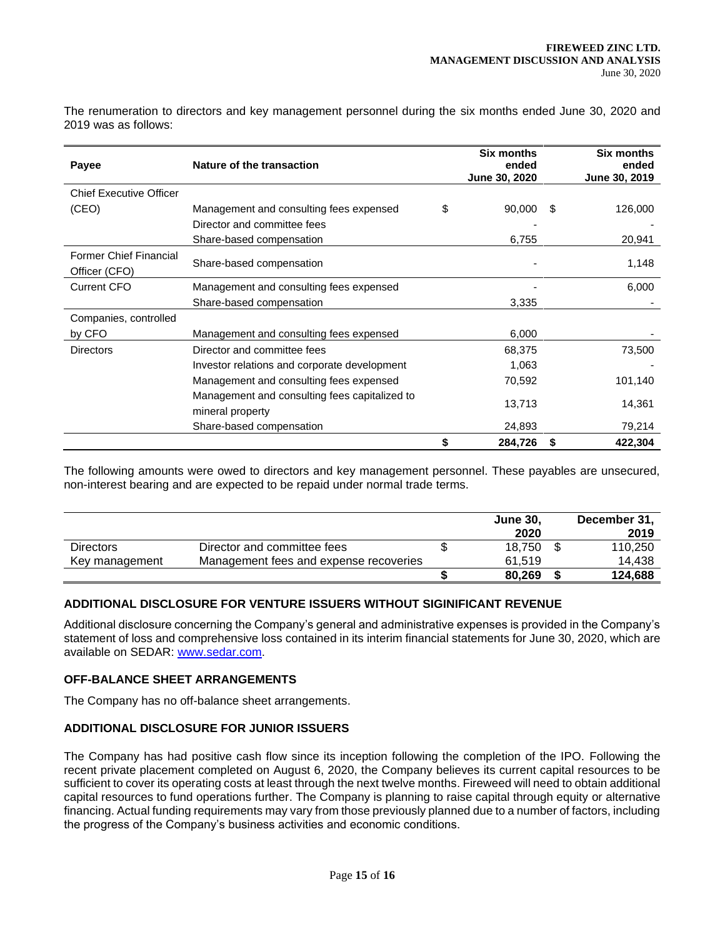The renumeration to directors and key management personnel during the six months ended June 30, 2020 and 2019 was as follows:

| Payee                                          | Nature of the transaction                                         |    |         |   | <b>Six months</b><br>ended<br>June 30, 2019 |
|------------------------------------------------|-------------------------------------------------------------------|----|---------|---|---------------------------------------------|
| <b>Chief Executive Officer</b>                 |                                                                   |    |         |   |                                             |
| (CEO)                                          | Management and consulting fees expensed                           | \$ | 90,000  | S | 126,000                                     |
|                                                | Director and committee fees                                       |    |         |   |                                             |
|                                                | Share-based compensation                                          |    | 6,755   |   | 20,941                                      |
| <b>Former Chief Financial</b><br>Officer (CFO) | Share-based compensation                                          |    |         |   | 1,148                                       |
| <b>Current CFO</b>                             | Management and consulting fees expensed                           |    |         |   | 6,000                                       |
|                                                | Share-based compensation                                          |    | 3,335   |   |                                             |
| Companies, controlled                          |                                                                   |    |         |   |                                             |
| by CFO                                         | Management and consulting fees expensed                           |    | 6,000   |   |                                             |
| <b>Directors</b>                               | Director and committee fees                                       |    | 68,375  |   | 73,500                                      |
|                                                | Investor relations and corporate development                      |    | 1,063   |   |                                             |
|                                                | Management and consulting fees expensed                           |    | 70,592  |   | 101,140                                     |
|                                                | Management and consulting fees capitalized to<br>mineral property |    | 13,713  |   | 14,361                                      |
|                                                | Share-based compensation                                          |    | 24,893  |   | 79,214                                      |
|                                                |                                                                   | \$ | 284,726 | S | 422,304                                     |

The following amounts were owed to directors and key management personnel. These payables are unsecured, non-interest bearing and are expected to be repaid under normal trade terms.

|                  |                                        | <b>June 30.</b><br>2020 | December 31,<br>2019 |
|------------------|----------------------------------------|-------------------------|----------------------|
| <b>Directors</b> | Director and committee fees            | 18.750                  | 110,250              |
| Key management   | Management fees and expense recoveries | 61.519                  | 14.438               |
|                  |                                        | 80.269                  | 124,688              |

# **ADDITIONAL DISCLOSURE FOR VENTURE ISSUERS WITHOUT SIGINIFICANT REVENUE**

Additional disclosure concerning the Company's general and administrative expenses is provided in the Company's statement of loss and comprehensive loss contained in its interim financial statements for June 30, 2020, which are available on SEDAR: [www.sedar.com.](about:blank)

### **OFF-BALANCE SHEET ARRANGEMENTS**

The Company has no off-balance sheet arrangements.

# **ADDITIONAL DISCLOSURE FOR JUNIOR ISSUERS**

The Company has had positive cash flow since its inception following the completion of the IPO. Following the recent private placement completed on August 6, 2020, the Company believes its current capital resources to be sufficient to cover its operating costs at least through the next twelve months. Fireweed will need to obtain additional capital resources to fund operations further. The Company is planning to raise capital through equity or alternative financing. Actual funding requirements may vary from those previously planned due to a number of factors, including the progress of the Company's business activities and economic conditions.